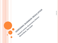ASSESSING BUSINESS REGULATION Rolland Lomme, Governance Advisor Morid Bank, New Detri **1**

8/27/2013 9/27/2013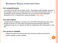# **BUSINESS REGULATION MATTERS**

#### **For competitiveness**

According to the IMF (Art IV report, 2012), "According to staff estimate, *reducing the average of each cost of doing business to the lowest among Indian cities is estimated to boost corporate investment by 3 to 3.5 percent* [and aggregate demand by 0.3 to 1.5 percent] *by raising profitability*". [\(IMF, 2012\)](http://www.imf.org/external/pubs/ft/wp/2012/wp1270.pdf)

#### **For Job creation**

Addressing the challenge of creating 70 to 100 million manufacturing jobs over a decade as per the 12<sup>th</sup> Plan (since manufacturing and domestic trade each contribute to only 16 to 17 percent of GDP as compared to 25 to 30 percent in other MIC

#### **For access to markets**

- Helping formalize the informal sector (by removing market entry barriers)
- Gender equality on labor markets

9/27/2013

8/27/2013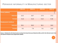## PERVASIVE INFORMALITY IN MANUFACTURING SECTOR

|                             | 1994-95 | 2000-01 | 2005-06 | <b>2010-11</b><br>$\frac{100}{120}$<br>$\frac{100}{120}$ |  |
|-----------------------------|---------|---------|---------|----------------------------------------------------------|--|
| <b>Firms (million)</b>      |         |         |         |                                                          |  |
| <b>Informal</b>             | 12.2    | 16.7    | 17.0    | 17.2                                                     |  |
| <b>Formal</b>               | 0.12    | 0.13    | 0.14    | 0.16                                                     |  |
| <b>Employment (million)</b> |         |         |         |                                                          |  |
| Informal                    | 29.1    | 36.3    | 36.1    | 34.8                                                     |  |
| <b>Formal</b>               | 9.2     | 7.9     | 9.1     | 11.8                                                     |  |

**Source: Estimates for the formal sector are from the** *Annual Survey of Industries* **(ASI), and for the informal sector from the National Sample Survey Organization (NSSO)**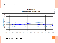### PERCEPTION MATTERS



India, 1996-2012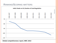## RANKING/SCORING MATTERS



**Global competitiveness report, WEF, 2013**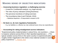### 3/27/2013 9/27/2013

# **MAKING SENSE OF OBJECTIVE INDICATORS**

#### **Assessing business regulation: a challenging exercise**

- A need for Cost/benefit analysis: e.g. legal security
- The risks of proxy indicators (Doing Business)
- The perverse incentives of rating exercises
- The incumbency bias (Lant Pritchett, 2010)
	- Statistical dispersion of respondents' answers to ES

#### **De facto vs. de Jure regulatory frameworks**

E.g. tax liabilities vs. effective tax rate (collected taxes minus tax expenditures)

#### **Accounting for rating misalignment across indicators:**

"Experienced policy implementation is about firms, not countries (…) there is massive variance across firms in their reported experiences (…) The typical variation across firms in the same country in experienced policy is of roughly similar magnitude to the entire cross-national variation in average policy experience." [L. Pritchett, 2010](http://www.hks.harvard.edu/fs/lpritch/NEW docs, ppts, etc/how business is done.pdf)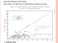### **ENFORCEMENT MATTERS: DE JURE VS DE FACTO BUSINESS REGULATION**

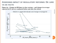## **ASSESSING IMPACT OF REGULATORY REFORMS: DE JURE VS DE FACTO**

Figure 6a: Changes in DB times to clear customs – and changes in averages reported in ES surveys conducted before and after the reform



**8**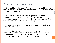# **FOUR CRITICAL DIMENSIONS**

(I) **Competition**—the ease of entry of products and firms into the national market and production space and the maintenance of a level playing field;

(II) **Operations**—the ability of entrepreneurs to discover business opportunities, establish firms to take advantage of them, enter into contracts, resolve disputes, and operate firms with low costs of regulatory compliance;

(III) **Expansion**—conditions for firms to grow and work at a profitable scale; and

(IV) **Exit**—the environment created for risk-taking and firmcreation by establishing effective insolvency and bankruptcy environments and minimizing the firm's costs of shifting resources among product lines and locations.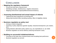### 2/27/2013 9/27/2013

## **CONCLUSION**

#### **Mapping the regulatory framework**

- Across the three tiers of government
- Identifying overlaps, obsolescence, negative interactions
- Mapping enforcement capacity/effectiveness/consistency

#### **Assessing distributional and actual impact of reforms**

- Capturing de facto experience at receiving end
- Measuring threshold effect (avoiding stunting effect of eligibility criteria)

#### **Puller Business regulation as policy tool**

- Aiming at market integration
- Factoring in policy objectives (gender equality, industrial development, job creation, etc.)
- Opting between alternative policy options (e.g. tax expenditures vs. tax relief)
- Business regulation as service delivery (reducing transaction costs)

#### **Building on successful initiatives/reforms**

- Focusing on the lower tiers of governments and emulating best performers
- Business regulation as services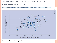### ENHANCING WOMEN PARTICIPATION IN BUSINESS A NEED FOR REGULATION ?

Figure 7: Relationship between the Global Competitiveness Index 2012-2013 and the Global Gender Gap Index 2012



**Global Gender Gap Report, 2012**